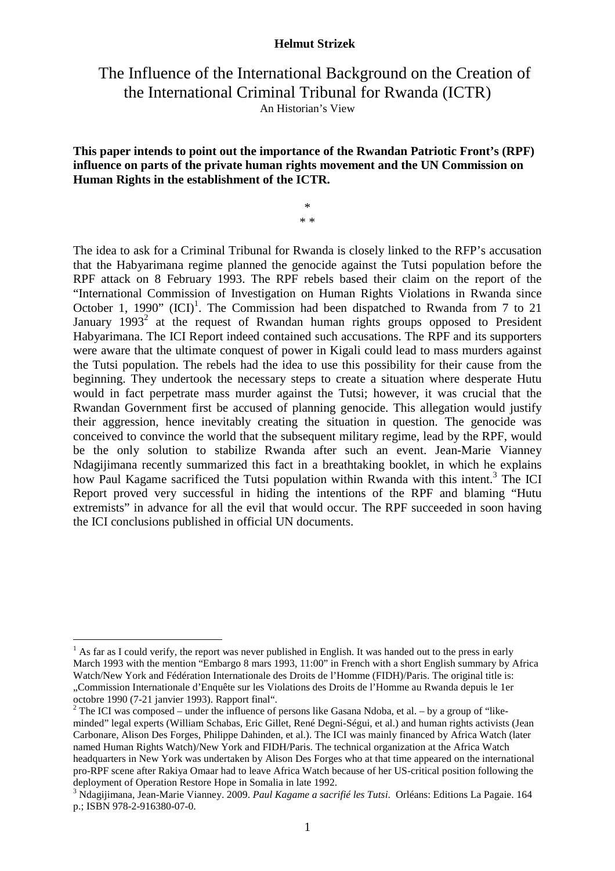## The Influence of the International Background on the Creation of the International Criminal Tribunal for Rwanda (ICTR) An Historian's View

#### **This paper intends to point out the importance of the Rwandan Patriotic Front's (RPF) influence on parts of the private human rights movement and the UN Commission on Human Rights in the establishment of the ICTR.**

\* \* \*

The idea to ask for a Criminal Tribunal for Rwanda is closely linked to the RFP's accusation that the Habyarimana regime planned the genocide against the Tutsi population before the RPF attack on 8 February 1993. The RPF rebels based their claim on the report of the "International Commission of Investigation on Human Rights Violations in Rwanda since October 1, 1990"  $(ICI)^1$ . The Commission had been dispatched to Rwanda from 7 to 21 January  $1993<sup>2</sup>$  at the request of Rwandan human rights groups opposed to President Habyarimana. The ICI Report indeed contained such accusations. The RPF and its supporters were aware that the ultimate conquest of power in Kigali could lead to mass murders against the Tutsi population. The rebels had the idea to use this possibility for their cause from the beginning. They undertook the necessary steps to create a situation where desperate Hutu would in fact perpetrate mass murder against the Tutsi; however, it was crucial that the Rwandan Government first be accused of planning genocide. This allegation would justify their aggression, hence inevitably creating the situation in question. The genocide was conceived to convince the world that the subsequent military regime, lead by the RPF, would be the only solution to stabilize Rwanda after such an event. Jean-Marie Vianney Ndagijimana recently summarized this fact in a breathtaking booklet, in which he explains how Paul Kagame sacrificed the Tutsi population within Rwanda with this intent.<sup>3</sup> The ICI Report proved very successful in hiding the intentions of the RPF and blaming "Hutu extremists" in advance for all the evil that would occur. The RPF succeeded in soon having the ICI conclusions published in official UN documents.

 $<sup>1</sup>$  As far as I could verify, the report was never published in English. It was handed out to the press in early</sup> March 1993 with the mention "Embargo 8 mars 1993, 11:00" in French with a short English summary by Africa Watch/New York and Fédération Internationale des Droits de l'Homme (FIDH)/Paris. The original title is: "Commission Internationale d'Enquête sur les Violations des Droits de l'Homme au Rwanda depuis le 1er

octobre 1990 (7-21 janvier 1993). Rapport final".

<sup>&</sup>lt;sup>2</sup> The ICI was composed – under the influence of persons like Gasana Ndoba, et al. – by a group of "likeminded" legal experts (William Schabas, Eric Gillet, René Degni-Ségui, et al.) and human rights activists (Jean Carbonare, Alison Des Forges, Philippe Dahinden, et al.). The ICI was mainly financed by Africa Watch (later named Human Rights Watch)/New York and FIDH/Paris. The technical organization at the Africa Watch headquarters in New York was undertaken by Alison Des Forges who at that time appeared on the international pro-RPF scene after Rakiya Omaar had to leave Africa Watch because of her US-critical position following the deployment of Operation Restore Hope in Somalia in late 1992.

<sup>3</sup> Ndagijimana, Jean-Marie Vianney. 2009. *Paul Kagame a sacrifié les Tutsi*. Orléans: Editions La Pagaie. 164 p.; ISBN 978-2-916380-07-0.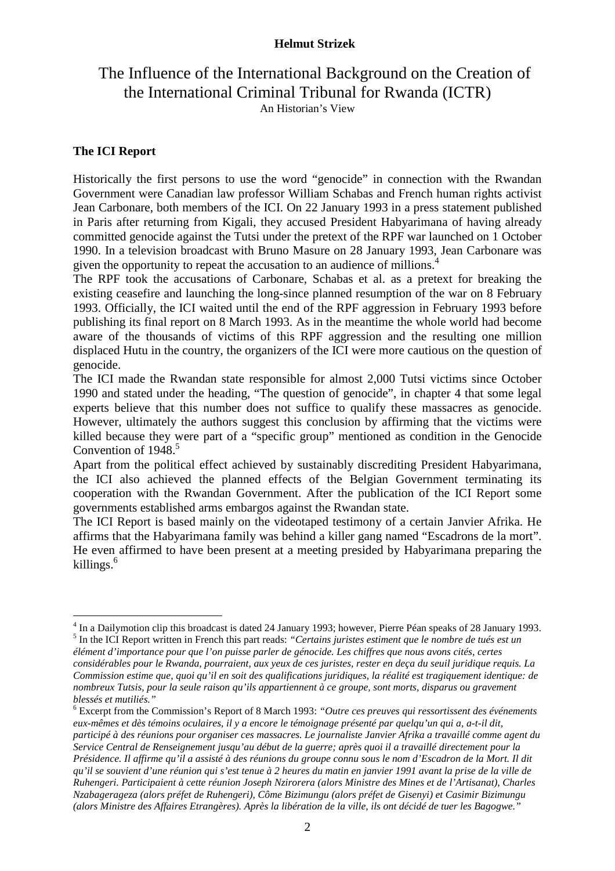## The Influence of the International Background on the Creation of the International Criminal Tribunal for Rwanda (ICTR) An Historian's View

## **The ICI Report**

 $\overline{a}$ 

Historically the first persons to use the word "genocide" in connection with the Rwandan Government were Canadian law professor William Schabas and French human rights activist Jean Carbonare, both members of the ICI. On 22 January 1993 in a press statement published in Paris after returning from Kigali, they accused President Habyarimana of having already committed genocide against the Tutsi under the pretext of the RPF war launched on 1 October 1990. In a television broadcast with Bruno Masure on 28 January 1993, Jean Carbonare was given the opportunity to repeat the accusation to an audience of millions.<sup>4</sup>

The RPF took the accusations of Carbonare, Schabas et al. as a pretext for breaking the existing ceasefire and launching the long-since planned resumption of the war on 8 February 1993. Officially, the ICI waited until the end of the RPF aggression in February 1993 before publishing its final report on 8 March 1993. As in the meantime the whole world had become aware of the thousands of victims of this RPF aggression and the resulting one million displaced Hutu in the country, the organizers of the ICI were more cautious on the question of genocide.

The ICI made the Rwandan state responsible for almost 2,000 Tutsi victims since October 1990 and stated under the heading, "The question of genocide", in chapter 4 that some legal experts believe that this number does not suffice to qualify these massacres as genocide. However, ultimately the authors suggest this conclusion by affirming that the victims were killed because they were part of a "specific group" mentioned as condition in the Genocide Convention of  $1948$ <sup>5</sup>

Apart from the political effect achieved by sustainably discrediting President Habyarimana, the ICI also achieved the planned effects of the Belgian Government terminating its cooperation with the Rwandan Government. After the publication of the ICI Report some governments established arms embargos against the Rwandan state.

The ICI Report is based mainly on the videotaped testimony of a certain Janvier Afrika. He affirms that the Habyarimana family was behind a killer gang named "Escadrons de la mort". He even affirmed to have been present at a meeting presided by Habyarimana preparing the killings.<sup>6</sup>

<sup>&</sup>lt;sup>4</sup> In a Dailymotion clip this broadcast is dated 24 January 1993; however, Pierre Péan speaks of 28 January 1993. 5 In the ICI Report written in French this part reads: *"Certains juristes estiment que le nombre de tués est un* 

*élément d'importance pour que l'on puisse parler de génocide. Les chiffres que nous avons cités, certes considérables pour le Rwanda, pourraient, aux yeux de ces juristes, rester en deça du seuil juridique requis. La Commission estime que, quoi qu'il en soit des qualifications juridiques, la réalité est tragiquement identique: de nombreux Tutsis, pour la seule raison qu'ils appartiennent à ce groupe, sont morts, disparus ou gravement blessés et mutiliés."*

<sup>6</sup> Excerpt from the Commission's Report of 8 March 1993: *"Outre ces preuves qui ressortissent des événements eux-mêmes et dès témoins oculaires, il y a encore le témoignage présenté par quelqu'un qui a, a-t-il dit, participé à des réunions pour organiser ces massacres. Le journaliste Janvier Afrika a travaillé comme agent du Service Central de Renseignement jusqu'au début de la guerre; après quoi il a travaillé directement pour la Présidence. Il affirme qu'il a assisté à des réunions du groupe connu sous le nom d'Escadron de la Mort. Il dit qu'il se souvient d'une réunion qui s'est tenue à 2 heures du matin en janvier 1991 avant la prise de la ville de Ruhengeri. Participaient à cette réunion Joseph Nzirorera (alors Ministre des Mines et de l'Artisanat), Charles Nzabagerageza (alors préfet de Ruhengeri), Côme Bizimungu (alors préfet de Gisenyi) et Casimir Bizimungu (alors Ministre des Affaires Etrangères). Après la libération de la ville, ils ont décidé de tuer les Bagogwe."*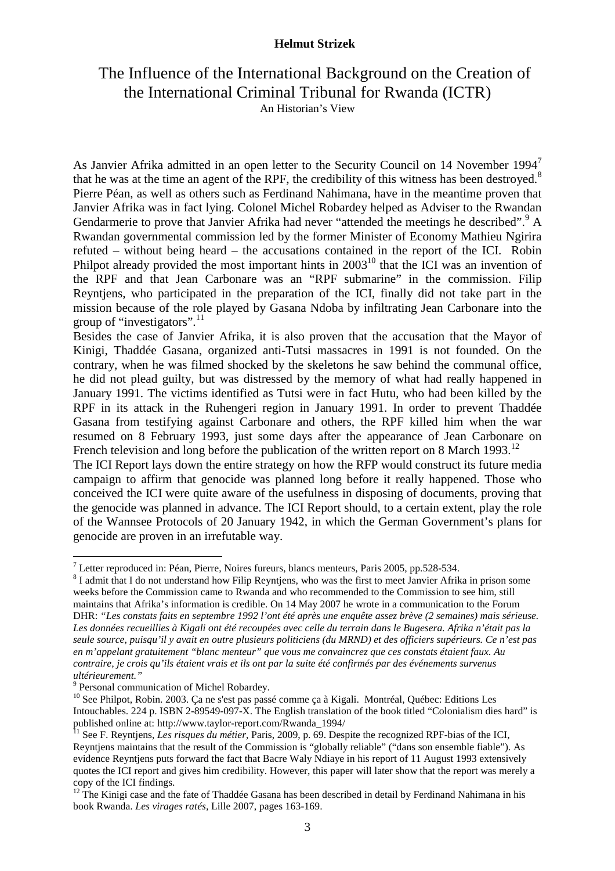# The Influence of the International Background on the Creation of the International Criminal Tribunal for Rwanda (ICTR)

An Historian's View

As Janvier Afrika admitted in an open letter to the Security Council on 14 November 1994<sup>7</sup> that he was at the time an agent of the RPF, the credibility of this witness has been destroyed.<sup>8</sup> Pierre Péan, as well as others such as Ferdinand Nahimana, have in the meantime proven that Janvier Afrika was in fact lying. Colonel Michel Robardey helped as Adviser to the Rwandan Gendarmerie to prove that Janvier Afrika had never "attended the meetings he described".<sup>9</sup> A Rwandan governmental commission led by the former Minister of Economy Mathieu Ngirira refuted – without being heard – the accusations contained in the report of the ICI. Robin Philpot already provided the most important hints in  $2003<sup>10</sup>$  that the ICI was an invention of the RPF and that Jean Carbonare was an "RPF submarine" in the commission. Filip Reyntjens, who participated in the preparation of the ICI, finally did not take part in the mission because of the role played by Gasana Ndoba by infiltrating Jean Carbonare into the group of "investigators".<sup>11</sup>

Besides the case of Janvier Afrika, it is also proven that the accusation that the Mayor of Kinigi, Thaddée Gasana, organized anti-Tutsi massacres in 1991 is not founded. On the contrary, when he was filmed shocked by the skeletons he saw behind the communal office, he did not plead guilty, but was distressed by the memory of what had really happened in January 1991. The victims identified as Tutsi were in fact Hutu, who had been killed by the RPF in its attack in the Ruhengeri region in January 1991. In order to prevent Thaddée Gasana from testifying against Carbonare and others, the RPF killed him when the war resumed on 8 February 1993, just some days after the appearance of Jean Carbonare on French television and long before the publication of the written report on 8 March 1993.<sup>12</sup> The ICI Report lays down the entire strategy on how the RFP would construct its future media campaign to affirm that genocide was planned long before it really happened. Those who conceived the ICI were quite aware of the usefulness in disposing of documents, proving that the genocide was planned in advance. The ICI Report should, to a certain extent, play the role of the Wannsee Protocols of 20 January 1942, in which the German Government's plans for

genocide are proven in an irrefutable way.

 7 Letter reproduced in: Péan, Pierre, Noires fureurs, blancs menteurs, Paris 2005, pp.528-534.

 $8$  I admit that I do not understand how Filip Reyntjens, who was the first to meet Janvier Afrika in prison some weeks before the Commission came to Rwanda and who recommended to the Commission to see him, still maintains that Afrika's information is credible. On 14 May 2007 he wrote in a communication to the Forum DHR: *"Les constats faits en septembre 1992 l'ont été après une enquête assez brève (2 semaines) mais sérieuse. Les données recueillies à Kigali ont été recoupées avec celle du terrain dans le Bugesera. Afrika n'était pas la seule source, puisqu'il y avait en outre plusieurs politiciens (du MRND) et des officiers supérieurs. Ce n'est pas en m'appelant gratuitement "blanc menteur" que vous me convaincrez que ces constats étaient faux. Au contraire, je crois qu'ils étaient vrais et ils ont par la suite été confirmés par des événements survenus ultérieurement."*

<sup>&</sup>lt;sup>9</sup> Personal communication of Michel Robardey.

<sup>&</sup>lt;sup>10</sup> See Philpot, Robin. 2003. Ça ne s'est pas passé comme ça à Kigali. Montréal, Québec: Editions Les Intouchables. 224 p. ISBN 2-89549-097-X. The English translation of the book titled "Colonialism dies hard" is published online at: http://www.taylor-report.com/Rwanda\_1994/

<sup>&</sup>lt;sup>11</sup> See F. Reyntjens, *Les risques du métier*, Paris, 2009, p. 69. Despite the recognized RPF-bias of the ICI, Reyntjens maintains that the result of the Commission is "globally reliable" ("dans son ensemble fiable"). As evidence Reyntjens puts forward the fact that Bacre Waly Ndiaye in his report of 11 August 1993 extensively quotes the ICI report and gives him credibility. However, this paper will later show that the report was merely a copy of the ICI findings.

<sup>&</sup>lt;sup>12</sup> The Kinigi case and the fate of Thaddée Gasana has been described in detail by Ferdinand Nahimana in his book Rwanda. *Les virages ratés,* Lille 2007, pages 163-169.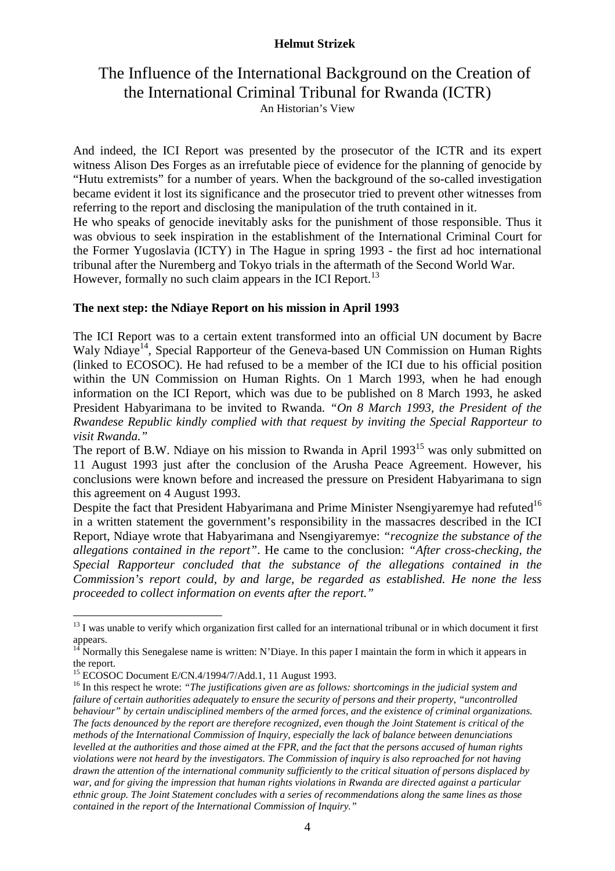## The Influence of the International Background on the Creation of the International Criminal Tribunal for Rwanda (ICTR) An Historian's View

And indeed, the ICI Report was presented by the prosecutor of the ICTR and its expert witness Alison Des Forges as an irrefutable piece of evidence for the planning of genocide by "Hutu extremists" for a number of years. When the background of the so-called investigation became evident it lost its significance and the prosecutor tried to prevent other witnesses from referring to the report and disclosing the manipulation of the truth contained in it. He who speaks of genocide inevitably asks for the punishment of those responsible. Thus it was obvious to seek inspiration in the establishment of the International Criminal Court for the Former Yugoslavia (ICTY) in The Hague in spring 1993 - the first ad hoc international tribunal after the Nuremberg and Tokyo trials in the aftermath of the Second World War. However, formally no such claim appears in the ICI Report.<sup>13</sup>

#### **The next step: the Ndiaye Report on his mission in April 1993**

The ICI Report was to a certain extent transformed into an official UN document by Bacre Waly Ndiaye<sup>14</sup>, Special Rapporteur of the Geneva-based UN Commission on Human Rights (linked to ECOSOC). He had refused to be a member of the ICI due to his official position within the UN Commission on Human Rights. On 1 March 1993, when he had enough information on the ICI Report, which was due to be published on 8 March 1993, he asked President Habyarimana to be invited to Rwanda. *"On 8 March 1993, the President of the Rwandese Republic kindly complied with that request by inviting the Special Rapporteur to visit Rwanda."* 

The report of B.W. Ndiave on his mission to Rwanda in April  $1993<sup>15</sup>$  was only submitted on 11 August 1993 just after the conclusion of the Arusha Peace Agreement. However, his conclusions were known before and increased the pressure on President Habyarimana to sign this agreement on 4 August 1993.

Despite the fact that President Habyarimana and Prime Minister Nsengiyaremye had refuted<sup>16</sup> in a written statement the government's responsibility in the massacres described in the ICI Report, Ndiaye wrote that Habyarimana and Nsengiyaremye: *"recognize the substance of the allegations contained in the report"*. He came to the conclusion: *"After cross-checking, the Special Rapporteur concluded that the substance of the allegations contained in the Commission's report could, by and large, be regarded as established. He none the less proceeded to collect information on events after the report."* 

 $13$  I was unable to verify which organization first called for an international tribunal or in which document it first appears.

 $14$ <sup>14</sup> Normally this Senegalese name is written: N'Diaye. In this paper I maintain the form in which it appears in the report.

<sup>&</sup>lt;sup>15</sup> ECOSOC Document E/CN.4/1994/7/Add.1, 11 August 1993.

<sup>&</sup>lt;sup>16</sup> In this respect he wrote: "The justifications given are as follows: shortcomings in the judicial system and *failure of certain authorities adequately to ensure the security of persons and their property, "uncontrolled behaviour" by certain undisciplined members of the armed forces, and the existence of criminal organizations. The facts denounced by the report are therefore recognized, even though the Joint Statement is critical of the methods of the International Commission of Inquiry, especially the lack of balance between denunciations levelled at the authorities and those aimed at the FPR, and the fact that the persons accused of human rights violations were not heard by the investigators. The Commission of inquiry is also reproached for not having drawn the attention of the international community sufficiently to the critical situation of persons displaced by war, and for giving the impression that human rights violations in Rwanda are directed against a particular ethnic group. The Joint Statement concludes with a series of recommendations along the same lines as those contained in the report of the International Commission of Inquiry."*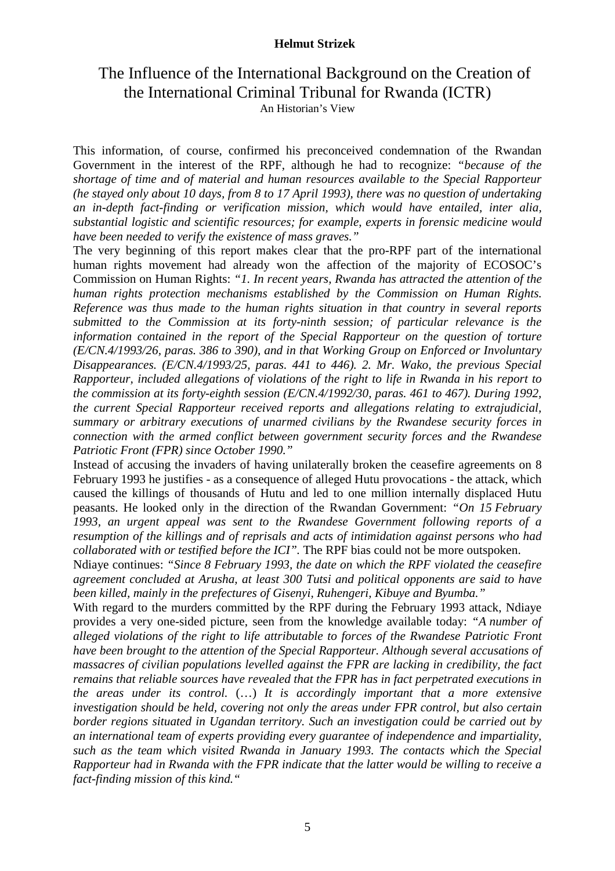## The Influence of the International Background on the Creation of the International Criminal Tribunal for Rwanda (ICTR) An Historian's View

This information, of course, confirmed his preconceived condemnation of the Rwandan Government in the interest of the RPF, although he had to recognize: *"because of the shortage of time and of material and human resources available to the Special Rapporteur (he stayed only about 10 days, from 8 to 17 April 1993), there was no question of undertaking an in-depth fact-finding or verification mission, which would have entailed, inter alia, substantial logistic and scientific resources; for example, experts in forensic medicine would have been needed to verify the existence of mass graves."* 

The very beginning of this report makes clear that the pro-RPF part of the international human rights movement had already won the affection of the majority of ECOSOC's Commission on Human Rights: *"1. In recent years, Rwanda has attracted the attention of the human rights protection mechanisms established by the Commission on Human Rights. Reference was thus made to the human rights situation in that country in several reports submitted to the Commission at its forty-ninth session; of particular relevance is the information contained in the report of the Special Rapporteur on the question of torture (E/CN.4/1993/26, paras. 386 to 390), and in that Working Group on Enforced or Involuntary Disappearances. (E/CN.4/1993/25, paras. 441 to 446). 2. Mr. Wako, the previous Special Rapporteur, included allegations of violations of the right to life in Rwanda in his report to the commission at its forty-eighth session (E/CN.4/1992/30, paras. 461 to 467). During 1992, the current Special Rapporteur received reports and allegations relating to extrajudicial, summary or arbitrary executions of unarmed civilians by the Rwandese security forces in connection with the armed conflict between government security forces and the Rwandese Patriotic Front (FPR) since October 1990."* 

Instead of accusing the invaders of having unilaterally broken the ceasefire agreements on 8 February 1993 he justifies - as a consequence of alleged Hutu provocations - the attack, which caused the killings of thousands of Hutu and led to one million internally displaced Hutu peasants. He looked only in the direction of the Rwandan Government: *"On 15 February 1993, an urgent appeal was sent to the Rwandese Government following reports of a resumption of the killings and of reprisals and acts of intimidation against persons who had collaborated with or testified before the ICI".* The RPF bias could not be more outspoken.

Ndiaye continues: *"Since 8 February 1993, the date on which the RPF violated the ceasefire agreement concluded at Arusha, at least 300 Tutsi and political opponents are said to have been killed, mainly in the prefectures of Gisenyi, Ruhengeri, Kibuye and Byumba."*

With regard to the murders committed by the RPF during the February 1993 attack, Ndiaye provides a very one-sided picture, seen from the knowledge available today: *"A number of alleged violations of the right to life attributable to forces of the Rwandese Patriotic Front have been brought to the attention of the Special Rapporteur. Although several accusations of massacres of civilian populations levelled against the FPR are lacking in credibility, the fact remains that reliable sources have revealed that the FPR has in fact perpetrated executions in the areas under its control.* (…) *It is accordingly important that a more extensive investigation should be held, covering not only the areas under FPR control, but also certain border regions situated in Ugandan territory. Such an investigation could be carried out by an international team of experts providing every guarantee of independence and impartiality, such as the team which visited Rwanda in January 1993. The contacts which the Special Rapporteur had in Rwanda with the FPR indicate that the latter would be willing to receive a fact-finding mission of this kind."*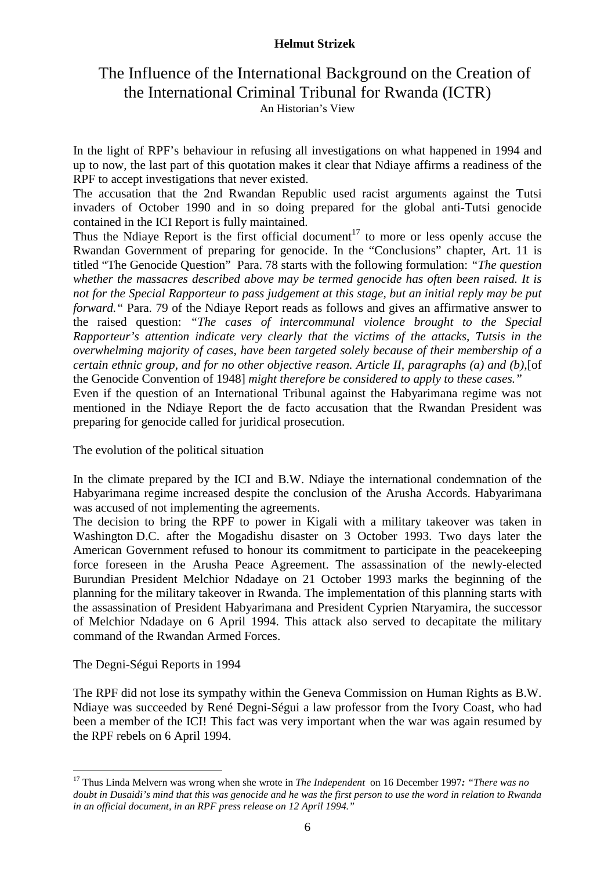## The Influence of the International Background on the Creation of the International Criminal Tribunal for Rwanda (ICTR) An Historian's View

In the light of RPF's behaviour in refusing all investigations on what happened in 1994 and up to now, the last part of this quotation makes it clear that Ndiaye affirms a readiness of the RPF to accept investigations that never existed.

The accusation that the 2nd Rwandan Republic used racist arguments against the Tutsi invaders of October 1990 and in so doing prepared for the global anti-Tutsi genocide contained in the ICI Report is fully maintained.

Thus the Ndiaye Report is the first official document<sup>17</sup> to more or less openly accuse the Rwandan Government of preparing for genocide. In the "Conclusions" chapter, Art. 11 is titled "The Genocide Question" Para. 78 starts with the following formulation: *"The question whether the massacres described above may be termed genocide has often been raised. It is not for the Special Rapporteur to pass judgement at this stage, but an initial reply may be put forward."* Para. 79 of the Ndiaye Report reads as follows and gives an affirmative answer to the raised question: *"The cases of intercommunal violence brought to the Special Rapporteur's attention indicate very clearly that the victims of the attacks, Tutsis in the overwhelming majority of cases, have been targeted solely because of their membership of a certain ethnic group, and for no other objective reason. Article II, paragraphs (a) and (b),*[of the Genocide Convention of 1948] *might therefore be considered to apply to these cases."*

Even if the question of an International Tribunal against the Habyarimana regime was not mentioned in the Ndiaye Report the de facto accusation that the Rwandan President was preparing for genocide called for juridical prosecution.

The evolution of the political situation

In the climate prepared by the ICI and B.W. Ndiaye the international condemnation of the Habyarimana regime increased despite the conclusion of the Arusha Accords. Habyarimana was accused of not implementing the agreements.

The decision to bring the RPF to power in Kigali with a military takeover was taken in Washington D.C. after the Mogadishu disaster on 3 October 1993. Two days later the American Government refused to honour its commitment to participate in the peacekeeping force foreseen in the Arusha Peace Agreement. The assassination of the newly-elected Burundian President Melchior Ndadaye on 21 October 1993 marks the beginning of the planning for the military takeover in Rwanda. The implementation of this planning starts with the assassination of President Habyarimana and President Cyprien Ntaryamira, the successor of Melchior Ndadaye on 6 April 1994. This attack also served to decapitate the military command of the Rwandan Armed Forces.

The Degni-Ségui Reports in 1994

 $\overline{a}$ 

The RPF did not lose its sympathy within the Geneva Commission on Human Rights as B.W. Ndiaye was succeeded by René Degni-Ségui a law professor from the Ivory Coast, who had been a member of the ICI! This fact was very important when the war was again resumed by the RPF rebels on 6 April 1994.

<sup>17</sup> Thus Linda Melvern was wrong when she wrote in *The Independent* on 16 December 1997*: "There was no doubt in Dusaidi's mind that this was genocide and he was the first person to use the word in relation to Rwanda in an official document, in an RPF press release on 12 April 1994."*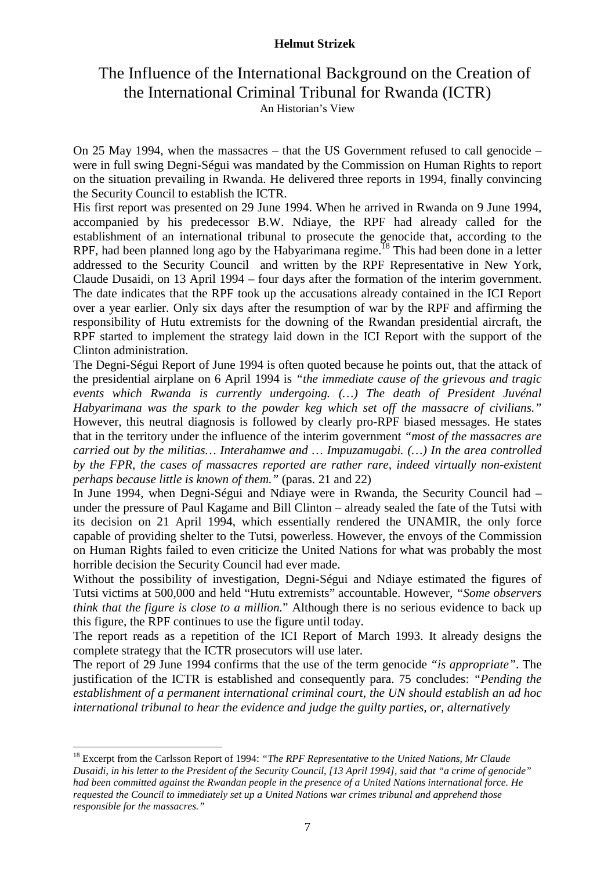## The Influence of the International Background on the Creation of the International Criminal Tribunal for Rwanda (ICTR) An Historian's View

On 25 May 1994, when the massacres – that the US Government refused to call genocide – were in full swing Degni-Ségui was mandated by the Commission on Human Rights to report on the situation prevailing in Rwanda. He delivered three reports in 1994, finally convincing the Security Council to establish the ICTR.

His first report was presented on 29 June 1994. When he arrived in Rwanda on 9 June 1994, accompanied by his predecessor B.W. Ndiaye, the RPF had already called for the establishment of an international tribunal to prosecute the genocide that, according to the RPF, had been planned long ago by the Habyarimana regime.<sup>18</sup> This had been done in a letter addressed to the Security Council and written by the RPF Representative in New York, Claude Dusaidi, on 13 April 1994 – four days after the formation of the interim government. The date indicates that the RPF took up the accusations already contained in the ICI Report over a year earlier. Only six days after the resumption of war by the RPF and affirming the responsibility of Hutu extremists for the downing of the Rwandan presidential aircraft, the RPF started to implement the strategy laid down in the ICI Report with the support of the Clinton administration.

The Degni-Ségui Report of June 1994 is often quoted because he points out, that the attack of the presidential airplane on 6 April 1994 is *"the immediate cause of the grievous and tragic events which Rwanda is currently undergoing. (…) The death of President Juvénal Habyarimana was the spark to the powder keg which set off the massacre of civilians."*  However, this neutral diagnosis is followed by clearly pro-RPF biased messages. He states that in the territory under the influence of the interim government *"most of the massacres are carried out by the militias… Interahamwe and … Impuzamugabi. (…) In the area controlled by the FPR, the cases of massacres reported are rather rare, indeed virtually non-existent perhaps because little is known of them."* (paras. 21 and 22)

In June 1994, when Degni-Ségui and Ndiaye were in Rwanda, the Security Council had – under the pressure of Paul Kagame and Bill Clinton – already sealed the fate of the Tutsi with its decision on 21 April 1994, which essentially rendered the UNAMIR, the only force capable of providing shelter to the Tutsi, powerless. However, the envoys of the Commission on Human Rights failed to even criticize the United Nations for what was probably the most horrible decision the Security Council had ever made.

Without the possibility of investigation, Degni-Ségui and Ndiaye estimated the figures of Tutsi victims at 500,000 and held "Hutu extremists" accountable. However, *"Some observers think that the figure is close to a million.*" Although there is no serious evidence to back up this figure, the RPF continues to use the figure until today.

The report reads as a repetition of the ICI Report of March 1993. It already designs the complete strategy that the ICTR prosecutors will use later.

The report of 29 June 1994 confirms that the use of the term genocide *"is appropriate"*. The justification of the ICTR is established and consequently para. 75 concludes: *"Pending the establishment of a permanent international criminal court, the UN should establish an ad hoc international tribunal to hear the evidence and judge the guilty parties, or, alternatively* 

<sup>18</sup> Excerpt from the Carlsson Report of 1994: *"The RPF Representative to the United Nations, Mr Claude Dusaidi, in his letter to the President of the Security Council, [13 April 1994], said that "a crime of genocide" had been committed against the Rwandan people in the presence of a United Nations international force. He requested the Council to immediately set up a United Nations war crimes tribunal and apprehend those responsible for the massacres."*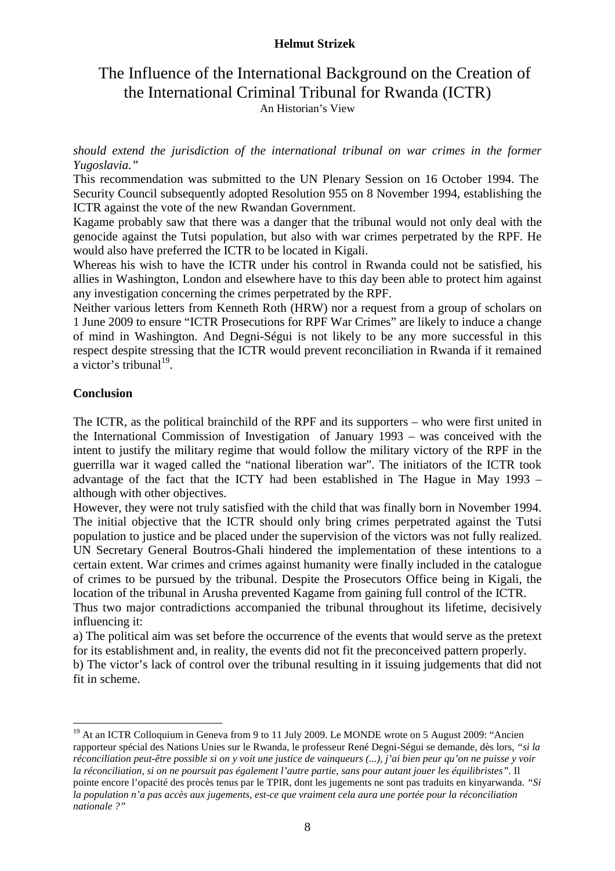## The Influence of the International Background on the Creation of the International Criminal Tribunal for Rwanda (ICTR) An Historian's View

*should extend the jurisdiction of the international tribunal on war crimes in the former Yugoslavia."*

This recommendation was submitted to the UN Plenary Session on 16 October 1994. The Security Council subsequently adopted Resolution 955 on 8 November 1994, establishing the ICTR against the vote of the new Rwandan Government.

Kagame probably saw that there was a danger that the tribunal would not only deal with the genocide against the Tutsi population, but also with war crimes perpetrated by the RPF. He would also have preferred the ICTR to be located in Kigali.

Whereas his wish to have the ICTR under his control in Rwanda could not be satisfied, his allies in Washington, London and elsewhere have to this day been able to protect him against any investigation concerning the crimes perpetrated by the RPF.

Neither various letters from Kenneth Roth (HRW) nor a request from a group of scholars on 1 June 2009 to ensure "ICTR Prosecutions for RPF War Crimes" are likely to induce a change of mind in Washington. And Degni-Ségui is not likely to be any more successful in this respect despite stressing that the ICTR would prevent reconciliation in Rwanda if it remained a victor's tribunal $19$ .

## **Conclusion**

 $\overline{a}$ 

The ICTR, as the political brainchild of the RPF and its supporters – who were first united in the International Commission of Investigation of January 1993 – was conceived with the intent to justify the military regime that would follow the military victory of the RPF in the guerrilla war it waged called the "national liberation war". The initiators of the ICTR took advantage of the fact that the ICTY had been established in The Hague in May 1993 – although with other objectives.

However, they were not truly satisfied with the child that was finally born in November 1994. The initial objective that the ICTR should only bring crimes perpetrated against the Tutsi population to justice and be placed under the supervision of the victors was not fully realized. UN Secretary General Boutros-Ghali hindered the implementation of these intentions to a certain extent. War crimes and crimes against humanity were finally included in the catalogue of crimes to be pursued by the tribunal. Despite the Prosecutors Office being in Kigali, the location of the tribunal in Arusha prevented Kagame from gaining full control of the ICTR. Thus two major contradictions accompanied the tribunal throughout its lifetime, decisively influencing it:

a) The political aim was set before the occurrence of the events that would serve as the pretext for its establishment and, in reality, the events did not fit the preconceived pattern properly. b) The victor's lack of control over the tribunal resulting in it issuing judgements that did not fit in scheme.

<sup>&</sup>lt;sup>19</sup> At an ICTR Colloquium in Geneva from 9 to 11 July 2009. Le MONDE wrote on 5 August 2009: "Ancien rapporteur spécial des Nations Unies sur le Rwanda, le professeur René Degni-Ségui se demande, dès lors, *"si la réconciliation peut-être possible si on y voit une justice de vainqueurs (...), j'ai bien peur qu'on ne puisse y voir la réconciliation, si on ne poursuit pas également l'autre partie, sans pour autant jouer les équilibristes"*. Il pointe encore l'opacité des procès tenus par le TPIR, dont les jugements ne sont pas traduits en kinyarwanda. *"Si la population n'a pas accès aux jugements, est-ce que vraiment cela aura une portée pour la réconciliation nationale ?"*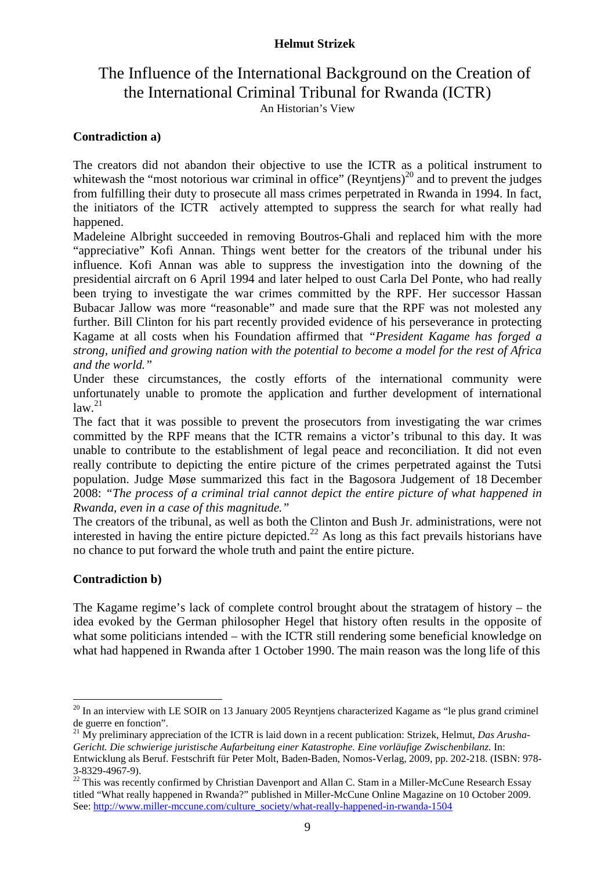## The Influence of the International Background on the Creation of the International Criminal Tribunal for Rwanda (ICTR) An Historian's View

## **Contradiction a)**

The creators did not abandon their objective to use the ICTR as a political instrument to whitewash the "most notorious war criminal in office" (Reyntiens)<sup>20</sup> and to prevent the judges from fulfilling their duty to prosecute all mass crimes perpetrated in Rwanda in 1994. In fact, the initiators of the ICTR actively attempted to suppress the search for what really had happened.

Madeleine Albright succeeded in removing Boutros-Ghali and replaced him with the more "appreciative" Kofi Annan. Things went better for the creators of the tribunal under his influence. Kofi Annan was able to suppress the investigation into the downing of the presidential aircraft on 6 April 1994 and later helped to oust Carla Del Ponte, who had really been trying to investigate the war crimes committed by the RPF. Her successor Hassan Bubacar Jallow was more "reasonable" and made sure that the RPF was not molested any further. Bill Clinton for his part recently provided evidence of his perseverance in protecting Kagame at all costs when his Foundation affirmed that *"President Kagame has forged a strong, unified and growing nation with the potential to become a model for the rest of Africa and the world."*

Under these circumstances, the costly efforts of the international community were unfortunately unable to promote the application and further development of international  $\int$ law.<sup>21</sup>

The fact that it was possible to prevent the prosecutors from investigating the war crimes committed by the RPF means that the ICTR remains a victor's tribunal to this day. It was unable to contribute to the establishment of legal peace and reconciliation. It did not even really contribute to depicting the entire picture of the crimes perpetrated against the Tutsi population. Judge Møse summarized this fact in the Bagosora Judgement of 18 December 2008: *"The process of a criminal trial cannot depict the entire picture of what happened in Rwanda, even in a case of this magnitude."*

The creators of the tribunal, as well as both the Clinton and Bush Jr. administrations, were not interested in having the entire picture depicted.<sup>22</sup> As long as this fact prevails historians have no chance to put forward the whole truth and paint the entire picture.

#### **Contradiction b)**

 $\overline{a}$ 

The Kagame regime's lack of complete control brought about the stratagem of history – the idea evoked by the German philosopher Hegel that history often results in the opposite of what some politicians intended – with the ICTR still rendering some beneficial knowledge on what had happened in Rwanda after 1 October 1990. The main reason was the long life of this

 $20$  In an interview with LE SOIR on 13 January 2005 Reyntjens characterized Kagame as "le plus grand criminel de guerre en fonction".

<sup>21</sup> My preliminary appreciation of the ICTR is laid down in a recent publication: Strizek, Helmut, *Das Arusha-Gericht. Die schwierige juristische Aufarbeitung einer Katastrophe. Eine vorläufige Zwischenbilanz.* In: Entwicklung als Beruf. Festschrift für Peter Molt, Baden-Baden, Nomos-Verlag, 2009, pp. 202-218. (ISBN: 978- 3-8329-4967-9).

 $22$  This was recently confirmed by Christian Davenport and Allan C. Stam in a Miller-McCune Research Essay titled "What really happened in Rwanda?" published in Miller-McCune Online Magazine on 10 October 2009. See: http://www.miller-mccune.com/culture\_society/what-really-happened-in-rwanda-1504